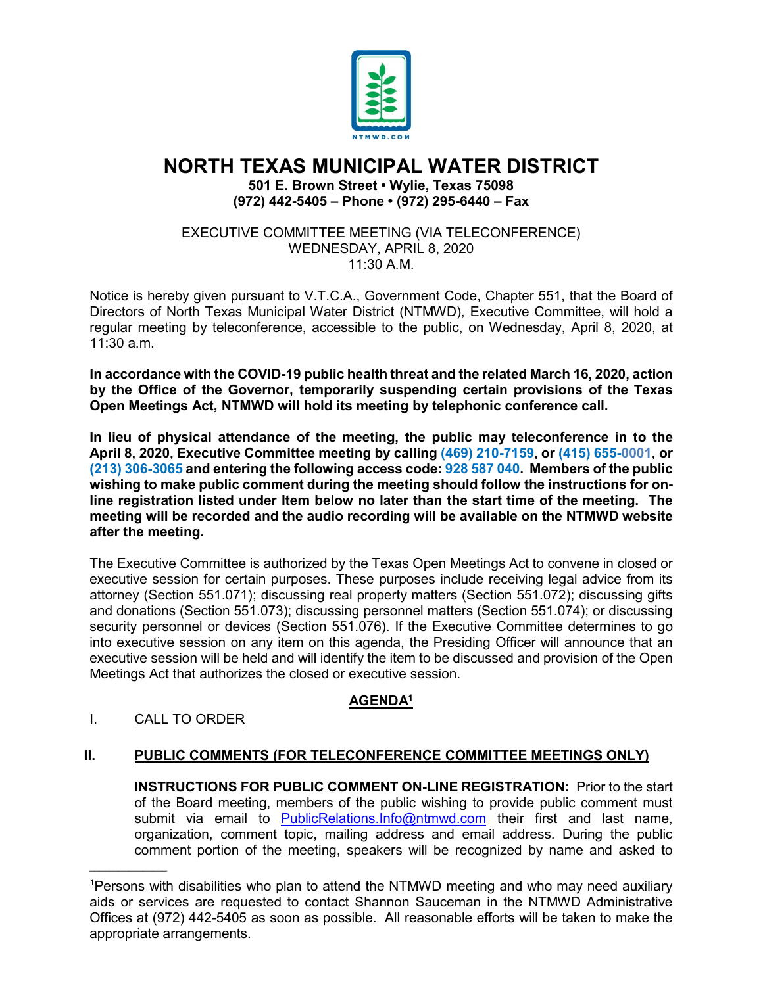

# **NORTH TEXAS MUNICIPAL WATER DISTRICT**

**501 E. Brown Street • Wylie, Texas 75098 (972) 442-5405 – Phone • (972) 295-6440 – Fax**

EXECUTIVE COMMITTEE MEETING (VIA TELECONFERENCE) WEDNESDAY, APRIL 8, 2020  $11:30$  A M

Notice is hereby given pursuant to V.T.C.A., Government Code, Chapter 551, that the Board of Directors of North Texas Municipal Water District (NTMWD), Executive Committee, will hold a regular meeting by teleconference, accessible to the public, on Wednesday, April 8, 2020, at 11:30 a.m.

**In accordance with the COVID-19 public health threat and the related March 16, 2020, action by the Office of the Governor, temporarily suspending certain provisions of the Texas Open Meetings Act, NTMWD will hold its meeting by telephonic conference call.** 

**In lieu of physical attendance of the meeting, the public may teleconference in to the April 8, 2020, Executive Committee meeting by calling (469) 210-7159, or (415) 655-0001, or (213) 306-3065 and entering the following access code: 928 587 040. Members of the public wishing to make public comment during the meeting should follow the instructions for online registration listed under Item below no later than the start time of the meeting. The meeting will be recorded and the audio recording will be available on the NTMWD website after the meeting.**

The Executive Committee is authorized by the Texas Open Meetings Act to convene in closed or executive session for certain purposes. These purposes include receiving legal advice from its attorney (Section 551.071); discussing real property matters (Section 551.072); discussing gifts and donations (Section 551.073); discussing personnel matters (Section 551.074); or discussing security personnel or devices (Section 551.076). If the Executive Committee determines to go into executive session on any item on this agenda, the Presiding Officer will announce that an executive session will be held and will identify the item to be discussed and provision of the Open Meetings Act that authorizes the closed or executive session.

## **AGENDA1**

### I. CALL TO ORDER

 $\overline{\phantom{a}}$  , where  $\overline{\phantom{a}}$ 

### **II. PUBLIC COMMENTS (FOR TELECONFERENCE COMMITTEE MEETINGS ONLY)**

**INSTRUCTIONS FOR PUBLIC COMMENT ON-LINE REGISTRATION:** Prior to the start of the Board meeting, members of the public wishing to provide public comment must submit via email to [PublicRelations.Info@ntmwd.com](mailto:PublicRelations.Info@ntmwd.com) their first and last name, organization, comment topic, mailing address and email address. During the public comment portion of the meeting, speakers will be recognized by name and asked to

<sup>1</sup> Persons with disabilities who plan to attend the NTMWD meeting and who may need auxiliary aids or services are requested to contact Shannon Sauceman in the NTMWD Administrative Offices at (972) 442-5405 as soon as possible. All reasonable efforts will be taken to make the appropriate arrangements.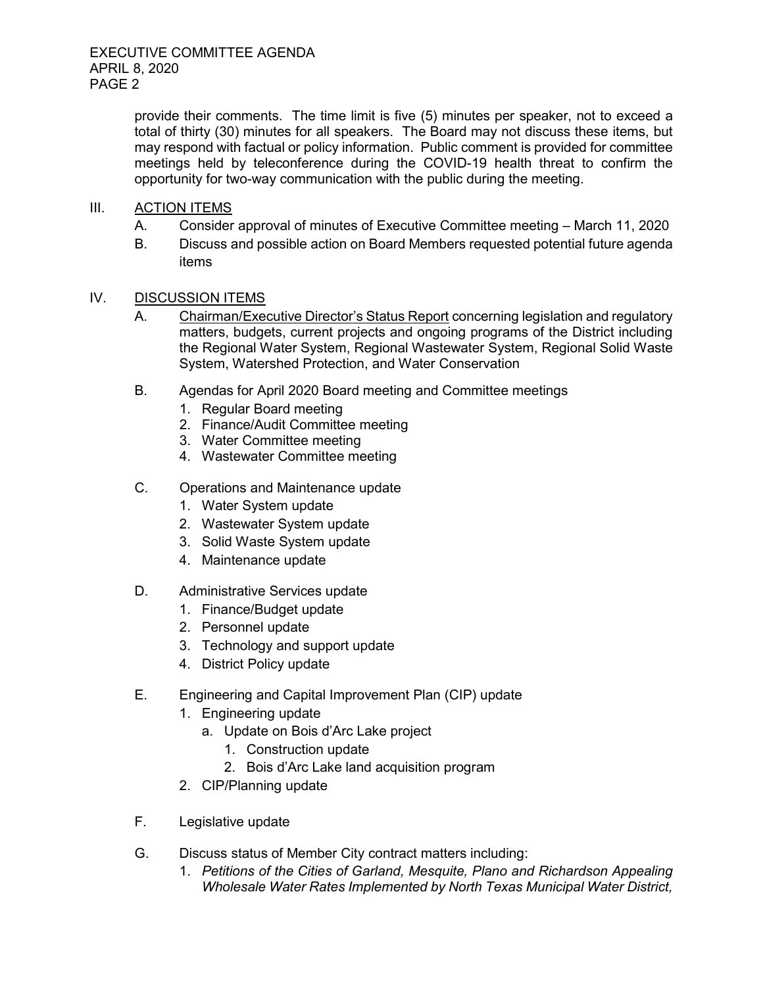provide their comments. The time limit is five (5) minutes per speaker, not to exceed a total of thirty (30) minutes for all speakers. The Board may not discuss these items, but may respond with factual or policy information. Public comment is provided for committee meetings held by teleconference during the COVID-19 health threat to confirm the opportunity for two-way communication with the public during the meeting.

- III. ACTION ITEMS
	- A. Consider approval of minutes of Executive Committee meeting March 11, 2020
	- B. Discuss and possible action on Board Members requested potential future agenda items

#### IV. DISCUSSION ITEMS

- A. Chairman/Executive Director's Status Report concerning legislation and regulatory matters, budgets, current projects and ongoing programs of the District including the Regional Water System, Regional Wastewater System, Regional Solid Waste System, Watershed Protection, and Water Conservation
- B. Agendas for April 2020 Board meeting and Committee meetings
	- 1. Regular Board meeting
	- 2. Finance/Audit Committee meeting
	- 3. Water Committee meeting
	- 4. Wastewater Committee meeting
- C. Operations and Maintenance update
	- 1. Water System update
	- 2. Wastewater System update
	- 3. Solid Waste System update
	- 4. Maintenance update
- D. Administrative Services update
	- 1. Finance/Budget update
	- 2. Personnel update
	- 3. Technology and support update
	- 4. District Policy update
- E. Engineering and Capital Improvement Plan (CIP) update
	- 1. Engineering update
		- a. Update on Bois d'Arc Lake project
			- 1. Construction update
			- 2. Bois d'Arc Lake land acquisition program
	- 2. CIP/Planning update
- F. Legislative update
- G. Discuss status of Member City contract matters including:
	- 1. *Petitions of the Cities of Garland, Mesquite, Plano and Richardson Appealing Wholesale Water Rates Implemented by North Texas Municipal Water District,*